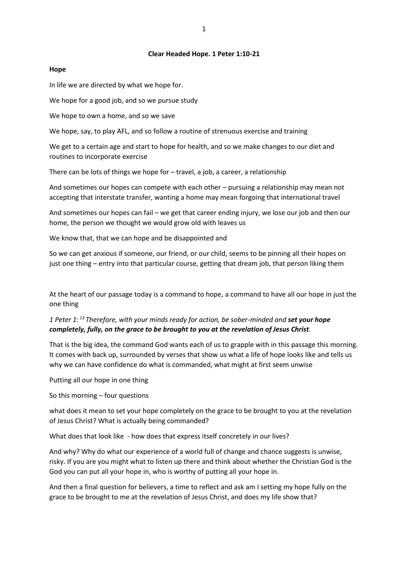#### **Clear Headed Hope. 1 Peter 1:10-21**

### **Hope**

In life we are directed by what we hope for.

We hope for a good job, and so we pursue study

We hope to own a home, and so we save

We hope, say, to play AFL, and so follow a routine of strenuous exercise and training

We get to a certain age and start to hope for health, and so we make changes to our diet and routines to incorporate exercise

There can be lots of things we hope for – travel, a job, a career, a relationship

And sometimes our hopes can compete with each other – pursuing a relationship may mean not accepting that interstate transfer, wanting a home may mean forgoing that international travel

And sometimes our hopes can fail – we get that career ending injury, we lose our job and then our home, the person we thought we would grow old with leaves us

We know that, that we can hope and be disappointed and

So we can get anxious if someone, our friend, or our child, seems to be pinning all their hopes on just one thing – entry into that particular course, getting that dream job, that person liking them

At the heart of our passage today is a command to hope, a command to have all our hope in just the one thing

# *1 Peter 1: <sup>13</sup> Therefore, with your minds ready for action, be sober-minded and set your hope completely, fully, on the grace to be brought to you at the revelation of Jesus Christ.*

That is the big idea, the command God wants each of us to grapple with in this passage this morning. It comes with back up, surrounded by verses that show us what a life of hope looks like and tells us why we can have confidence do what is commanded, what might at first seem unwise

Putting all our hope in one thing

So this morning – four questions

what does it mean to set your hope completely on the grace to be brought to you at the revelation of Jesus Christ? What is actually being commanded?

What does that look like - how does that express itself concretely in our lives?

And why? Why do what our experience of a world full of change and chance suggests is unwise, risky. If you are you might what to listen up there and think about whether the Christian God is the God you can put all your hope in, who is worthy of putting all your hope in.

And then a final question for believers, a time to reflect and ask am I setting my hope fully on the grace to be brought to me at the revelation of Jesus Christ, and does my life show that?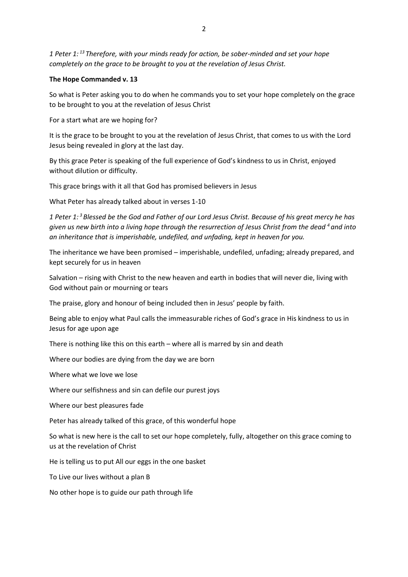*1 Peter 1: <sup>13</sup> Therefore, with your minds ready for action, be sober-minded and set your hope completely on the grace to be brought to you at the revelation of Jesus Christ.*

## **The Hope Commanded v. 13**

So what is Peter asking you to do when he commands you to set your hope completely on the grace to be brought to you at the revelation of Jesus Christ

For a start what are we hoping for?

It is the grace to be brought to you at the revelation of Jesus Christ, that comes to us with the Lord Jesus being revealed in glory at the last day.

By this grace Peter is speaking of the full experience of God's kindness to us in Christ, enjoyed without dilution or difficulty.

This grace brings with it all that God has promised believers in Jesus

What Peter has already talked about in verses 1-10

*1 Peter 1: <sup>3</sup> Blessed be the God and Father of our Lord Jesus Christ. Because of his great mercy he has given us new birth into a living hope through the resurrection of Jesus Christ from the dead <sup>4</sup> and into an inheritance that is imperishable, undefiled, and unfading, kept in heaven for you.* 

The inheritance we have been promised – imperishable, undefiled, unfading; already prepared, and kept securely for us in heaven

Salvation – rising with Christ to the new heaven and earth in bodies that will never die, living with God without pain or mourning or tears

The praise, glory and honour of being included then in Jesus' people by faith.

Being able to enjoy what Paul calls the immeasurable riches of God's grace in His kindness to us in Jesus for age upon age

There is nothing like this on this earth – where all is marred by sin and death

Where our bodies are dying from the day we are born

Where what we love we lose

Where our selfishness and sin can defile our purest joys

Where our best pleasures fade

Peter has already talked of this grace, of this wonderful hope

So what is new here is the call to set our hope completely, fully, altogether on this grace coming to us at the revelation of Christ

He is telling us to put All our eggs in the one basket

To Live our lives without a plan B

No other hope is to guide our path through life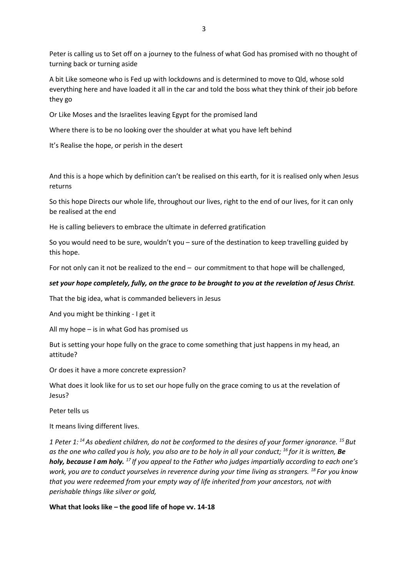Peter is calling us to Set off on a journey to the fulness of what God has promised with no thought of turning back or turning aside

A bit Like someone who is Fed up with lockdowns and is determined to move to Qld, whose sold everything here and have loaded it all in the car and told the boss what they think of their job before they go

Or Like Moses and the Israelites leaving Egypt for the promised land

Where there is to be no looking over the shoulder at what you have left behind

It's Realise the hope, or perish in the desert

And this is a hope which by definition can't be realised on this earth, for it is realised only when Jesus returns

So this hope Directs our whole life, throughout our lives, right to the end of our lives, for it can only be realised at the end

He is calling believers to embrace the ultimate in deferred gratification

So you would need to be sure, wouldn't you – sure of the destination to keep travelling guided by this hope.

For not only can it not be realized to the end – our commitment to that hope will be challenged,

### *set your hope completely, fully, on the grace to be brought to you at the revelation of Jesus Christ.*

That the big idea, what is commanded believers in Jesus

And you might be thinking - I get it

All my hope – is in what God has promised us

But is setting your hope fully on the grace to come something that just happens in my head, an attitude?

Or does it have a more concrete expression?

What does it look like for us to set our hope fully on the grace coming to us at the revelation of Jesus?

Peter tells us

It means living different lives.

*1 Peter 1: <sup>14</sup>As obedient children, do not be conformed to the desires of your former ignorance. <sup>15</sup> But as the one who called you is holy, you also are to be holy in all your conduct; <sup>16</sup> for it is written, Be holy, because I am holy. <sup>17</sup> If you appeal to the Father who judges impartially according to each one's work, you are to conduct yourselves in reverence during your time living as strangers. <sup>18</sup> For you know that you were redeemed from your empty way of life inherited from your ancestors, not with perishable things like silver or gold,*

**What that looks like – the good life of hope vv. 14-18**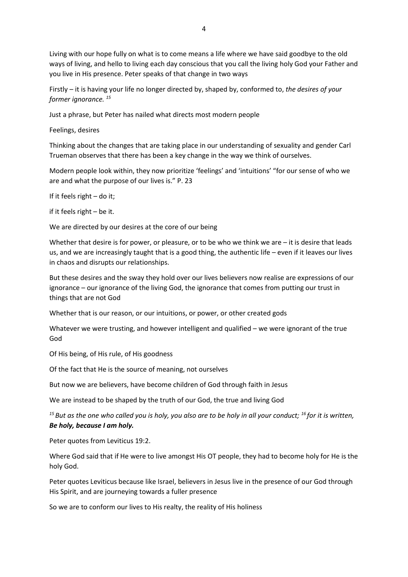Living with our hope fully on what is to come means a life where we have said goodbye to the old ways of living, and hello to living each day conscious that you call the living holy God your Father and you live in His presence. Peter speaks of that change in two ways

Firstly – it is having your life no longer directed by, shaped by, conformed to, *the desires of your former ignorance. <sup>15</sup>*

Just a phrase, but Peter has nailed what directs most modern people

Feelings, desires

Thinking about the changes that are taking place in our understanding of sexuality and gender Carl Trueman observes that there has been a key change in the way we think of ourselves.

Modern people look within, they now prioritize 'feelings' and 'intuitions' "for our sense of who we are and what the purpose of our lives is." P. 23

If it feels right – do it;

if it feels right – be it.

We are directed by our desires at the core of our being

Whether that desire is for power, or pleasure, or to be who we think we are  $-$  it is desire that leads us, and we are increasingly taught that is a good thing, the authentic life – even if it leaves our lives in chaos and disrupts our relationships.

But these desires and the sway they hold over our lives believers now realise are expressions of our ignorance – our ignorance of the living God, the ignorance that comes from putting our trust in things that are not God

Whether that is our reason, or our intuitions, or power, or other created gods

Whatever we were trusting, and however intelligent and qualified – we were ignorant of the true God

Of His being, of His rule, of His goodness

Of the fact that He is the source of meaning, not ourselves

But now we are believers, have become children of God through faith in Jesus

We are instead to be shaped by the truth of our God, the true and living God

*<sup>15</sup> But as the one who called you is holy, you also are to be holy in all your conduct; <sup>16</sup> for it is written, Be holy, because I am holy.*

Peter quotes from Leviticus 19:2.

Where God said that if He were to live amongst His OT people, they had to become holy for He is the holy God.

Peter quotes Leviticus because like Israel, believers in Jesus live in the presence of our God through His Spirit, and are journeying towards a fuller presence

So we are to conform our lives to His realty, the reality of His holiness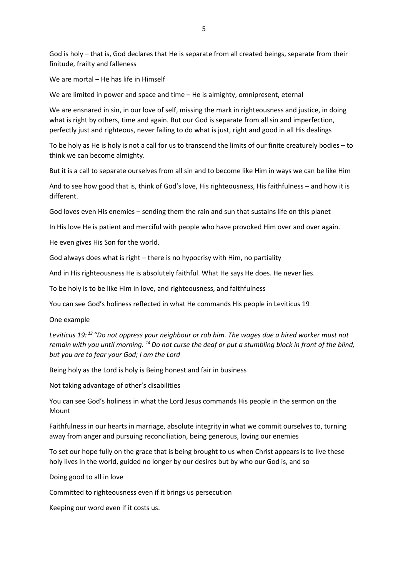God is holy – that is, God declares that He is separate from all created beings, separate from their finitude, frailty and falleness

We are mortal – He has life in Himself

We are limited in power and space and time – He is almighty, omnipresent, eternal

We are ensnared in sin, in our love of self, missing the mark in righteousness and justice, in doing what is right by others, time and again. But our God is separate from all sin and imperfection, perfectly just and righteous, never failing to do what is just, right and good in all His dealings

To be holy as He is holy is not a call for us to transcend the limits of our finite creaturely bodies – to think we can become almighty.

But it is a call to separate ourselves from all sin and to become like Him in ways we can be like Him

And to see how good that is, think of God's love, His righteousness, His faithfulness – and how it is different.

God loves even His enemies – sending them the rain and sun that sustains life on this planet

In His love He is patient and merciful with people who have provoked Him over and over again.

He even gives His Son for the world.

God always does what is right – there is no hypocrisy with Him, no partiality

And in His righteousness He is absolutely faithful. What He says He does. He never lies.

To be holy is to be like Him in love, and righteousness, and faithfulness

You can see God's holiness reflected in what He commands His people in Leviticus 19

#### One example

*Leviticus 19: <sup>13</sup> "Do not oppress your neighbour or rob him. The wages due a hired worker must not remain with you until morning. <sup>14</sup>Do not curse the deaf or put a stumbling block in front of the blind, but you are to fear your God; I am the Lord*

Being holy as the Lord is holy is Being honest and fair in business

Not taking advantage of other's disabilities

You can see God's holiness in what the Lord Jesus commands His people in the sermon on the Mount

Faithfulness in our hearts in marriage, absolute integrity in what we commit ourselves to, turning away from anger and pursuing reconciliation, being generous, loving our enemies

To set our hope fully on the grace that is being brought to us when Christ appears is to live these holy lives in the world, guided no longer by our desires but by who our God is, and so

Doing good to all in love

Committed to righteousness even if it brings us persecution

Keeping our word even if it costs us.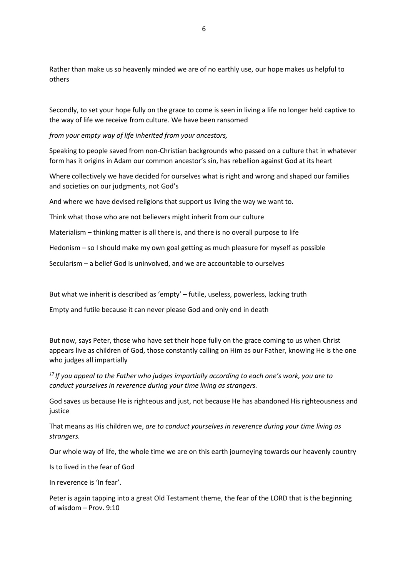Rather than make us so heavenly minded we are of no earthly use, our hope makes us helpful to others

Secondly, to set your hope fully on the grace to come is seen in living a life no longer held captive to the way of life we receive from culture. We have been ransomed

*from your empty way of life inherited from your ancestors,*

Speaking to people saved from non-Christian backgrounds who passed on a culture that in whatever form has it origins in Adam our common ancestor's sin, has rebellion against God at its heart

Where collectively we have decided for ourselves what is right and wrong and shaped our families and societies on our judgments, not God's

And where we have devised religions that support us living the way we want to.

Think what those who are not believers might inherit from our culture

Materialism – thinking matter is all there is, and there is no overall purpose to life

Hedonism – so I should make my own goal getting as much pleasure for myself as possible

Secularism – a belief God is uninvolved, and we are accountable to ourselves

But what we inherit is described as 'empty' – futile, useless, powerless, lacking truth

Empty and futile because it can never please God and only end in death

But now, says Peter, those who have set their hope fully on the grace coming to us when Christ appears live as children of God, those constantly calling on Him as our Father, knowing He is the one who judges all impartially

*<sup>17</sup> If you appeal to the Father who judges impartially according to each one's work, you are to conduct yourselves in reverence during your time living as strangers.*

God saves us because He is righteous and just, not because He has abandoned His righteousness and justice

That means as His children we, *are to conduct yourselves in reverence during your time living as strangers.*

Our whole way of life, the whole time we are on this earth journeying towards our heavenly country

Is to lived in the fear of God

In reverence is 'In fear'.

Peter is again tapping into a great Old Testament theme, the fear of the LORD that is the beginning of wisdom – Prov. 9:10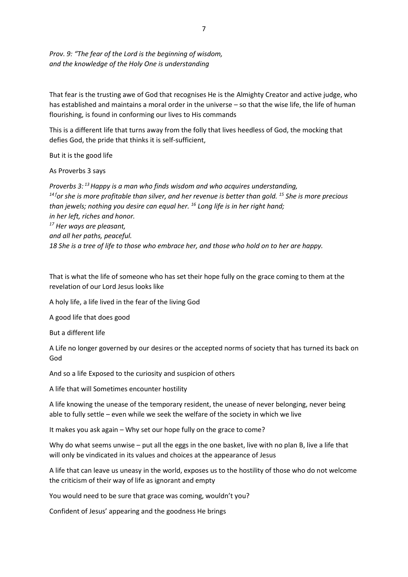*Prov. 9: "The fear of the Lord is the beginning of wisdom, and the knowledge of the Holy One is understanding*

That fear is the trusting awe of God that recognises He is the Almighty Creator and active judge, who has established and maintains a moral order in the universe – so that the wise life, the life of human flourishing, is found in conforming our lives to His commands

This is a different life that turns away from the folly that lives heedless of God, the mocking that defies God, the pride that thinks it is self-sufficient,

But it is the good life

As Proverbs 3 says

*Proverbs 3: <sup>13</sup>Happy is a man who finds wisdom and who acquires understanding, <sup>14</sup> <sup>f</sup>or she is more profitable than silver, and her revenue is better than gold. <sup>15</sup> She is more precious than jewels; nothing you desire can equal her. <sup>16</sup> Long life is in her right hand; in her left, riches and honor. <sup>17</sup> Her ways are pleasant, and all her paths, peaceful. 18 She is a tree of life to those who embrace her, and those who hold on to her are happy.* 

That is what the life of someone who has set their hope fully on the grace coming to them at the revelation of our Lord Jesus looks like

A holy life, a life lived in the fear of the living God

A good life that does good

But a different life

A Life no longer governed by our desires or the accepted norms of society that has turned its back on God

And so a life Exposed to the curiosity and suspicion of others

A life that will Sometimes encounter hostility

A life knowing the unease of the temporary resident, the unease of never belonging, never being able to fully settle – even while we seek the welfare of the society in which we live

It makes you ask again – Why set our hope fully on the grace to come?

Why do what seems unwise – put all the eggs in the one basket, live with no plan B, live a life that will only be vindicated in its values and choices at the appearance of Jesus

A life that can leave us uneasy in the world, exposes us to the hostility of those who do not welcome the criticism of their way of life as ignorant and empty

You would need to be sure that grace was coming, wouldn't you?

Confident of Jesus' appearing and the goodness He brings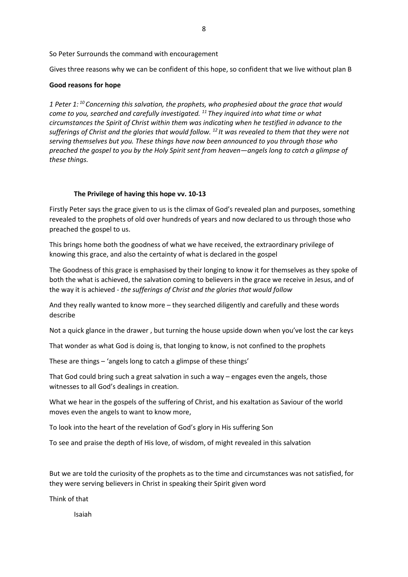So Peter Surrounds the command with encouragement

Gives three reasons why we can be confident of this hope, so confident that we live without plan B

### **Good reasons for hope**

*1 Peter 1: <sup>10</sup> Concerning this salvation, the prophets, who prophesied about the grace that would come to you, searched and carefully investigated. <sup>11</sup> They inquired into what time or what circumstances the Spirit of Christ within them was indicating when he testified in advance to the sufferings of Christ and the glories that would follow. <sup>12</sup> It was revealed to them that they were not serving themselves but you. These things have now been announced to you through those who preached the gospel to you by the Holy Spirit sent from heaven—angels long to catch a glimpse of these things.*

### **The Privilege of having this hope vv. 10-13**

Firstly Peter says the grace given to us is the climax of God's revealed plan and purposes, something revealed to the prophets of old over hundreds of years and now declared to us through those who preached the gospel to us.

This brings home both the goodness of what we have received, the extraordinary privilege of knowing this grace, and also the certainty of what is declared in the gospel

The Goodness of this grace is emphasised by their longing to know it for themselves as they spoke of both the what is achieved, the salvation coming to believers in the grace we receive in Jesus, and of the way it is achieved - *the sufferings of Christ and the glories that would follow*

And they really wanted to know more – they searched diligently and carefully and these words describe

Not a quick glance in the drawer , but turning the house upside down when you've lost the car keys

That wonder as what God is doing is, that longing to know, is not confined to the prophets

These are things – 'angels long to catch a glimpse of these things'

That God could bring such a great salvation in such a way – engages even the angels, those witnesses to all God's dealings in creation.

What we hear in the gospels of the suffering of Christ, and his exaltation as Saviour of the world moves even the angels to want to know more,

To look into the heart of the revelation of God's glory in His suffering Son

To see and praise the depth of His love, of wisdom, of might revealed in this salvation

But we are told the curiosity of the prophets as to the time and circumstances was not satisfied, for they were serving believers in Christ in speaking their Spirit given word

Think of that

Isaiah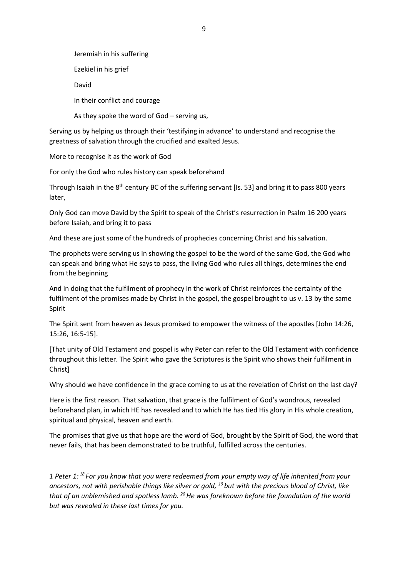Jeremiah in his suffering Ezekiel in his grief David In their conflict and courage As they spoke the word of God – serving us,

Serving us by helping us through their 'testifying in advance' to understand and recognise the greatness of salvation through the crucified and exalted Jesus.

More to recognise it as the work of God

For only the God who rules history can speak beforehand

Through Isaiah in the 8<sup>th</sup> century BC of the suffering servant [Is. 53] and bring it to pass 800 years later,

Only God can move David by the Spirit to speak of the Christ's resurrection in Psalm 16 200 years before Isaiah, and bring it to pass

And these are just some of the hundreds of prophecies concerning Christ and his salvation.

The prophets were serving us in showing the gospel to be the word of the same God, the God who can speak and bring what He says to pass, the living God who rules all things, determines the end from the beginning

And in doing that the fulfilment of prophecy in the work of Christ reinforces the certainty of the fulfilment of the promises made by Christ in the gospel, the gospel brought to us v. 13 by the same Spirit

The Spirit sent from heaven as Jesus promised to empower the witness of the apostles [John 14:26, 15:26, 16:5-15].

[That unity of Old Testament and gospel is why Peter can refer to the Old Testament with confidence throughout this letter. The Spirit who gave the Scriptures is the Spirit who shows their fulfilment in Christ]

Why should we have confidence in the grace coming to us at the revelation of Christ on the last day?

Here is the first reason. That salvation, that grace is the fulfilment of God's wondrous, revealed beforehand plan, in which HE has revealed and to which He has tied His glory in His whole creation, spiritual and physical, heaven and earth.

The promises that give us that hope are the word of God, brought by the Spirit of God, the word that never fails, that has been demonstrated to be truthful, fulfilled across the centuries.

*1 Peter 1: <sup>18</sup> For you know that you were redeemed from your empty way of life inherited from your ancestors, not with perishable things like silver or gold, <sup>19</sup> but with the precious blood of Christ, like that of an unblemished and spotless lamb. <sup>20</sup>He was foreknown before the foundation of the world but was revealed in these last times for you.*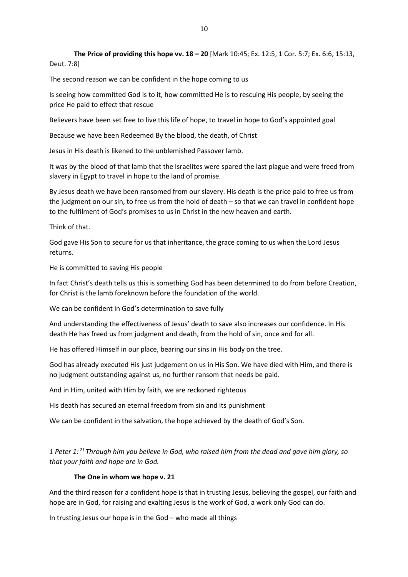**The Price of providing this hope vv. 18 – 20** [Mark 10:45; Ex. 12:5, 1 Cor. 5:7; Ex. 6:6, 15:13, Deut. 7:8]

The second reason we can be confident in the hope coming to us

Is seeing how committed God is to it, how committed He is to rescuing His people, by seeing the price He paid to effect that rescue

Believers have been set free to live this life of hope, to travel in hope to God's appointed goal

Because we have been Redeemed By the blood, the death, of Christ

Jesus in His death is likened to the unblemished Passover lamb.

It was by the blood of that lamb that the Israelites were spared the last plague and were freed from slavery in Egypt to travel in hope to the land of promise.

By Jesus death we have been ransomed from our slavery. His death is the price paid to free us from the judgment on our sin, to free us from the hold of death – so that we can travel in confident hope to the fulfilment of God's promises to us in Christ in the new heaven and earth.

Think of that.

God gave His Son to secure for us that inheritance, the grace coming to us when the Lord Jesus returns.

He is committed to saving His people

In fact Christ's death tells us this is something God has been determined to do from before Creation, for Christ is the lamb foreknown before the foundation of the world.

We can be confident in God's determination to save fully

And understanding the effectiveness of Jesus' death to save also increases our confidence. In His death He has freed us from judgment and death, from the hold of sin, once and for all.

He has offered Himself in our place, bearing our sins in His body on the tree.

God has already executed His just judgement on us in His Son. We have died with Him, and there is no judgment outstanding against us, no further ransom that needs be paid.

And in Him, united with Him by faith, we are reckoned righteous

His death has secured an eternal freedom from sin and its punishment

We can be confident in the salvation, the hope achieved by the death of God's Son.

*1 Peter 1: <sup>21</sup> Through him you believe in God, who raised him from the dead and gave him glory, so that your faith and hope are in God.*

# **The One in whom we hope v. 21**

And the third reason for a confident hope is that in trusting Jesus, believing the gospel, our faith and hope are in God, for raising and exalting Jesus is the work of God, a work only God can do.

In trusting Jesus our hope is in the God – who made all things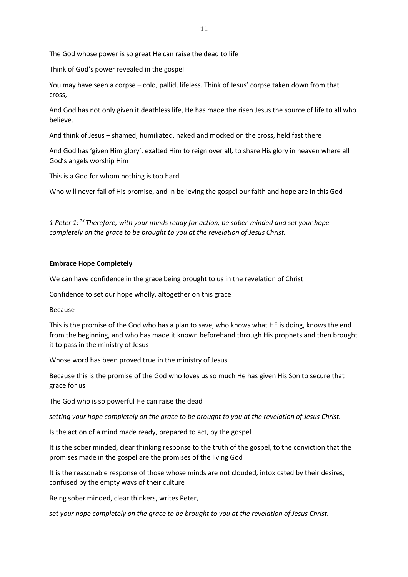The God whose power is so great He can raise the dead to life

Think of God's power revealed in the gospel

You may have seen a corpse – cold, pallid, lifeless. Think of Jesus' corpse taken down from that cross,

And God has not only given it deathless life, He has made the risen Jesus the source of life to all who believe.

And think of Jesus – shamed, humiliated, naked and mocked on the cross, held fast there

And God has 'given Him glory', exalted Him to reign over all, to share His glory in heaven where all God's angels worship Him

This is a God for whom nothing is too hard

Who will never fail of His promise, and in believing the gospel our faith and hope are in this God

*1 Peter 1: <sup>13</sup> Therefore, with your minds ready for action, be sober-minded and set your hope completely on the grace to be brought to you at the revelation of Jesus Christ.*

### **Embrace Hope Completely**

We can have confidence in the grace being brought to us in the revelation of Christ

Confidence to set our hope wholly, altogether on this grace

Because

This is the promise of the God who has a plan to save, who knows what HE is doing, knows the end from the beginning, and who has made it known beforehand through His prophets and then brought it to pass in the ministry of Jesus

Whose word has been proved true in the ministry of Jesus

Because this is the promise of the God who loves us so much He has given His Son to secure that grace for us

The God who is so powerful He can raise the dead

*setting your hope completely on the grace to be brought to you at the revelation of Jesus Christ.*

Is the action of a mind made ready, prepared to act, by the gospel

It is the sober minded, clear thinking response to the truth of the gospel, to the conviction that the promises made in the gospel are the promises of the living God

It is the reasonable response of those whose minds are not clouded, intoxicated by their desires, confused by the empty ways of their culture

Being sober minded, clear thinkers, writes Peter,

*set your hope completely on the grace to be brought to you at the revelation of Jesus Christ.*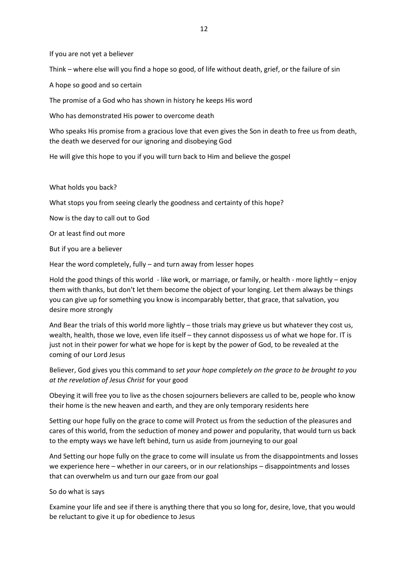If you are not yet a believer

Think – where else will you find a hope so good, of life without death, grief, or the failure of sin

A hope so good and so certain

The promise of a God who has shown in history he keeps His word

Who has demonstrated His power to overcome death

Who speaks His promise from a gracious love that even gives the Son in death to free us from death, the death we deserved for our ignoring and disobeying God

He will give this hope to you if you will turn back to Him and believe the gospel

What holds you back?

What stops you from seeing clearly the goodness and certainty of this hope?

Now is the day to call out to God

Or at least find out more

But if you are a believer

Hear the word completely, fully – and turn away from lesser hopes

Hold the good things of this world - like work, or marriage, or family, or health - more lightly – enjoy them with thanks, but don't let them become the object of your longing. Let them always be things you can give up for something you know is incomparably better, that grace, that salvation, you desire more strongly

And Bear the trials of this world more lightly – those trials may grieve us but whatever they cost us, wealth, health, those we love, even life itself – they cannot dispossess us of what we hope for. IT is just not in their power for what we hope for is kept by the power of God, to be revealed at the coming of our Lord Jesus

Believer, God gives you this command to *set your hope completely on the grace to be brought to you at the revelation of Jesus Christ* for your good

Obeying it will free you to live as the chosen sojourners believers are called to be, people who know their home is the new heaven and earth, and they are only temporary residents here

Setting our hope fully on the grace to come will Protect us from the seduction of the pleasures and cares of this world, from the seduction of money and power and popularity, that would turn us back to the empty ways we have left behind, turn us aside from journeying to our goal

And Setting our hope fully on the grace to come will insulate us from the disappointments and losses we experience here – whether in our careers, or in our relationships – disappointments and losses that can overwhelm us and turn our gaze from our goal

So do what is says

Examine your life and see if there is anything there that you so long for, desire, love, that you would be reluctant to give it up for obedience to Jesus